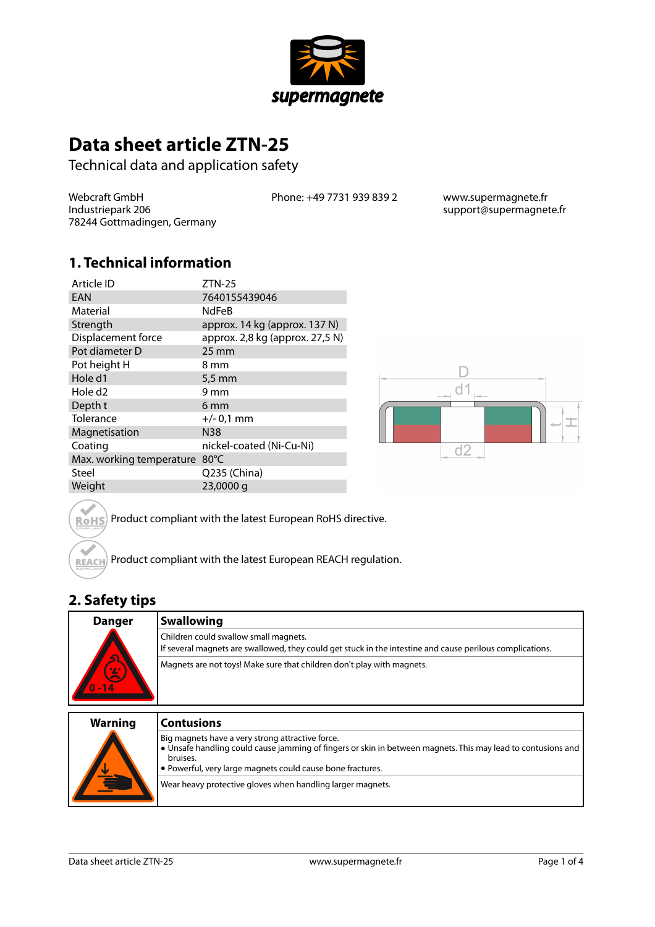

# **Data sheet article ZTN-25**

Technical data and application safety

Webcraft GmbH Industriepark 206 78244 Gottmadingen, Germany Phone: +49 7731 939 839 2 www.supermagnete.fr

support@supermagnete.fr

#### **1. Technical information**

| Article ID               | $ZTN-25$                        |
|--------------------------|---------------------------------|
| EAN                      | 7640155439046                   |
| Material                 | <b>NdFeB</b>                    |
| Strength                 | approx. 14 kg (approx. 137 N)   |
| Displacement force       | approx. 2,8 kg (approx. 27,5 N) |
| Pot diameter D           | $25 \,\mathrm{mm}$              |
| Pot height H             | 8 mm                            |
| Hole d1                  | $5.5 \text{ mm}$                |
| Hole d <sub>2</sub>      | 9 mm                            |
| Depth t                  | 6 <sub>mm</sub>                 |
| Tolerance                | $+/- 0.1$ mm                    |
| Magnetisation            | <b>N38</b>                      |
| Coating                  | nickel-coated (Ni-Cu-Ni)        |
| Max. working temperature | $80^{\circ}$ C                  |
| Steel                    | Q235 (China)                    |
| Weight                   | 23,0000 g                       |



Product compliant with the latest European RoHS directive. **RoHS** 

Product compliant with the latest European REACH regulation. REACH

## **2. Safety tips**

 $\sim$ 

| <b>Danger</b>            | <b>Swallowing</b>                                                                                                                                  |
|--------------------------|----------------------------------------------------------------------------------------------------------------------------------------------------|
| ച്                       | Children could swallow small magnets.<br>If several magnets are swallowed, they could get stuck in the intestine and cause perilous complications. |
| $\mathbf{z}$<br>$0 - 14$ | Magnets are not toys! Make sure that children don't play with magnets.                                                                             |
|                          |                                                                                                                                                    |

| <b>Warning</b> | <b>Contusions</b>                                                                                                                                                                                                                          |
|----------------|--------------------------------------------------------------------------------------------------------------------------------------------------------------------------------------------------------------------------------------------|
| V<br>È         | Big magnets have a very strong attractive force.<br>• Unsafe handling could cause jamming of fingers or skin in between magnets. This may lead to contusions and<br>bruises.<br>• Powerful, very large magnets could cause bone fractures. |
|                | Wear heavy protective gloves when handling larger magnets.                                                                                                                                                                                 |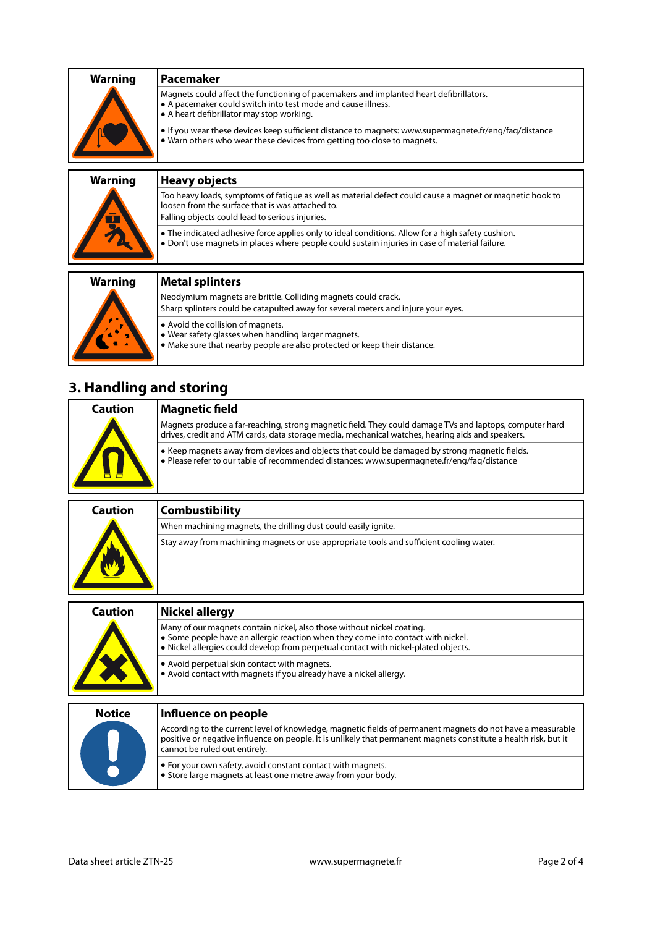| <b>Warning</b> | l Pacemaker                                                                                                                                                                                       |
|----------------|---------------------------------------------------------------------------------------------------------------------------------------------------------------------------------------------------|
|                | Magnets could affect the functioning of pacemakers and implanted heart defibrillators.<br>A pacemaker could switch into test mode and cause illness.<br>• A heart defibrillator may stop working. |
|                | $\bullet$ If you wear these devices keep sufficient distance to magnets: www.supermagnete.fr/eng/fag/distance<br>. Warn others who wear these devices from getting too close to magnets.          |
|                |                                                                                                                                                                                                   |

| <b>Heavy objects</b>                                                                                                                                                                                            |
|-----------------------------------------------------------------------------------------------------------------------------------------------------------------------------------------------------------------|
| Too heavy loads, symptoms of fatique as well as material defect could cause a magnet or magnetic hook to<br>loosen from the surface that is was attached to.<br>Falling objects could lead to serious injuries. |
| • The indicated adhesive force applies only to ideal conditions. Allow for a high safety cushion.<br>. Don't use magnets in places where people could sustain injuries in case of material failure.             |
| <b>Metal splinters</b>                                                                                                                                                                                          |
|                                                                                                                                                                                                                 |
| Neodymium magnets are brittle. Colliding magnets could crack.                                                                                                                                                   |
| Sharp splinters could be catapulted away for several meters and injure your eyes.                                                                                                                               |
|                                                                                                                                                                                                                 |

- **•** Avoid the collision of magnets.
- **•** Wear safety glasses when handling larger magnets.
- **•** Make sure that nearby people are also protected or keep their distance.

# **3. Handling and storing**

| Caution | Magnetic field                                                                                                                                                                                              |
|---------|-------------------------------------------------------------------------------------------------------------------------------------------------------------------------------------------------------------|
|         | Magnets produce a far-reaching, strong magnetic field. They could damage TVs and laptops, computer hard<br>drives, credit and ATM cards, data storage media, mechanical watches, hearing aids and speakers. |
|         | ● Keep magnets away from devices and objects that could be damaged by strong magnetic fields.<br>$\bullet$ Please refer to our table of recommended distances: www.supermagnete.fr/eng/faq/distance         |

| Caution | <b>Combustibility</b>                                                                   |
|---------|-----------------------------------------------------------------------------------------|
|         | When machining magnets, the drilling dust could easily ignite.                          |
|         | Stay away from machining magnets or use appropriate tools and sufficient cooling water. |

| <b>Caution</b> | Nickel allergy                                                                                                                                                                                                                                    |
|----------------|---------------------------------------------------------------------------------------------------------------------------------------------------------------------------------------------------------------------------------------------------|
|                | Many of our magnets contain nickel, also those without nickel coating.<br>• Some people have an allergic reaction when they come into contact with nickel.<br>. Nickel allergies could develop from perpetual contact with nickel-plated objects. |
|                | • Avoid perpetual skin contact with magnets.<br>. Avoid contact with magnets if you already have a nickel allergy.                                                                                                                                |
| <b>Notice</b>  | Influence on people                                                                                                                                                                                                                               |
|                | According to the current level of knowledge, magnetic fields of permanent magnets do not have a measurable<br>positive or negative influence on people. It is unlikely that permanent magnets constitute a health risk, but it                    |

|  | positive or negative influence on people. It is unlikely that permanent magnets constitute a health risk, but it<br><b>c</b> annot be ruled out entirely. |
|--|-----------------------------------------------------------------------------------------------------------------------------------------------------------|
|  | $\bullet$ For your own safety, avoid constant contact with magnets.<br>$\bullet$ Store large magnets at least one metre away from your body.              |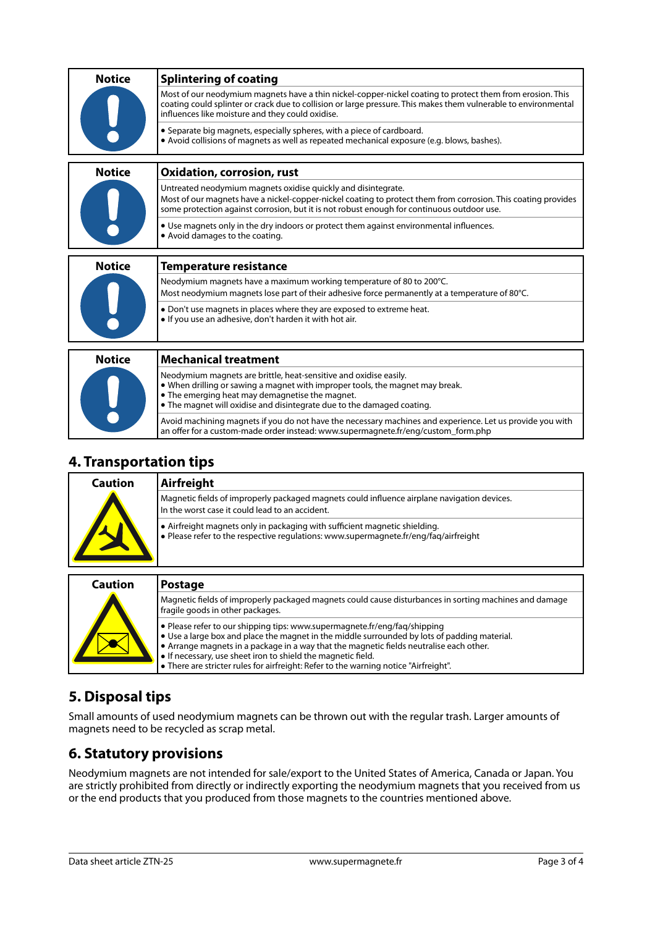| <b>Notice</b> | <b>Splintering of coating</b>                                                                                                                                                                                                                                                    |
|---------------|----------------------------------------------------------------------------------------------------------------------------------------------------------------------------------------------------------------------------------------------------------------------------------|
|               | Most of our neodymium magnets have a thin nickel-copper-nickel coating to protect them from erosion. This<br>coating could splinter or crack due to collision or large pressure. This makes them vulnerable to environmental<br>influences like moisture and they could oxidise. |
|               | • Separate big magnets, especially spheres, with a piece of cardboard.<br>• Avoid collisions of magnets as well as repeated mechanical exposure (e.g. blows, bashes).                                                                                                            |
| <b>Notice</b> | <b>Oxidation, corrosion, rust</b>                                                                                                                                                                                                                                                |
|               | Untreated neodymium magnets oxidise quickly and disintegrate.<br>Most of our magnets have a nickel-copper-nickel coating to protect them from corrosion. This coating provides<br>some protection against corrosion, but it is not robust enough for continuous outdoor use.     |
|               | • Use magnets only in the dry indoors or protect them against environmental influences.<br>• Avoid damages to the coating.                                                                                                                                                       |
| <b>Notice</b> | <b>Temperature resistance</b>                                                                                                                                                                                                                                                    |
|               | Neodymium magnets have a maximum working temperature of 80 to 200°C.                                                                                                                                                                                                             |
|               | Most neodymium magnets lose part of their adhesive force permanently at a temperature of 80°C.                                                                                                                                                                                   |
|               | • Don't use magnets in places where they are exposed to extreme heat.<br>. If you use an adhesive, don't harden it with hot air.                                                                                                                                                 |
|               |                                                                                                                                                                                                                                                                                  |
| <b>Notice</b> | <b>Mechanical treatment</b>                                                                                                                                                                                                                                                      |
|               | Neodymium magnets are brittle, heat-sensitive and oxidise easily.<br>• When drilling or sawing a magnet with improper tools, the magnet may break.<br>• The emerging heat may demagnetise the magnet.<br>• The magnet will oxidise and disintegrate due to the damaged coating.  |
|               | Avoid machining magnets if you do not have the necessary machines and experience. Let us provide you with                                                                                                                                                                        |

#### **4. Transportation tips**

| Caution | Airfreight                                                                                                                                                         |
|---------|--------------------------------------------------------------------------------------------------------------------------------------------------------------------|
|         | Magnetic fields of improperly packaged magnets could influence airplane navigation devices.<br>In the worst case it could lead to an accident.                     |
|         | • Airfreight magnets only in packaging with sufficient magnetic shielding.<br>• Please refer to the respective regulations: www.supermagnete.fr/eng/fag/airfreight |

an offer for a custom-made order instead: [www.supermagnete.fr/eng/custom\\_form.php](http://www.supermagnete.fr/eng/custom_form.php)

| <b>Caution</b> | <b>Postage</b>                                                                                                                                                                                                                                                                                                                                                                                                                       |
|----------------|--------------------------------------------------------------------------------------------------------------------------------------------------------------------------------------------------------------------------------------------------------------------------------------------------------------------------------------------------------------------------------------------------------------------------------------|
|                | Magnetic fields of improperly packaged magnets could cause disturbances in sorting machines and damage<br>fragile goods in other packages.                                                                                                                                                                                                                                                                                           |
|                | . Please refer to our shipping tips: www.supermagnete.fr/eng/faq/shipping<br>$\bullet$ Use a large box and place the magnet in the middle surrounded by lots of padding material.<br>• Arrange magnets in a package in a way that the magnetic fields neutralise each other.<br>• If necessary, use sheet iron to shield the magnetic field.<br>• There are stricter rules for airfreight: Refer to the warning notice "Airfreight". |

## **5. Disposal tips**

Small amounts of used neodymium magnets can be thrown out with the regular trash. Larger amounts of magnets need to be recycled as scrap metal.

### **6. Statutory provisions**

Neodymium magnets are not intended for sale/export to the United States of America, Canada or Japan. You are strictly prohibited from directly or indirectly exporting the neodymium magnets that you received from us or the end products that you produced from those magnets to the countries mentioned above.